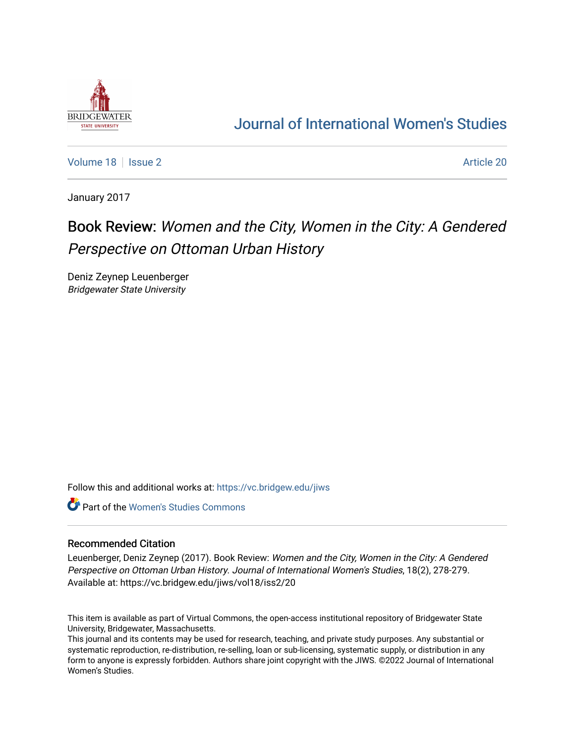

## [Journal of International Women's Studies](https://vc.bridgew.edu/jiws)

[Volume 18](https://vc.bridgew.edu/jiws/vol18) | [Issue 2](https://vc.bridgew.edu/jiws/vol18/iss2) Article 20

January 2017

# Book Review: Women and the City, Women in the City: A Gendered Perspective on Ottoman Urban History

Deniz Zeynep Leuenberger Bridgewater State University

Follow this and additional works at: [https://vc.bridgew.edu/jiws](https://vc.bridgew.edu/jiws?utm_source=vc.bridgew.edu%2Fjiws%2Fvol18%2Fiss2%2F20&utm_medium=PDF&utm_campaign=PDFCoverPages)

Part of the [Women's Studies Commons](http://network.bepress.com/hgg/discipline/561?utm_source=vc.bridgew.edu%2Fjiws%2Fvol18%2Fiss2%2F20&utm_medium=PDF&utm_campaign=PDFCoverPages) 

### Recommended Citation

Leuenberger, Deniz Zeynep (2017). Book Review: Women and the City, Women in the City: A Gendered Perspective on Ottoman Urban History. Journal of International Women's Studies, 18(2), 278-279. Available at: https://vc.bridgew.edu/jiws/vol18/iss2/20

This item is available as part of Virtual Commons, the open-access institutional repository of Bridgewater State University, Bridgewater, Massachusetts.

This journal and its contents may be used for research, teaching, and private study purposes. Any substantial or systematic reproduction, re-distribution, re-selling, loan or sub-licensing, systematic supply, or distribution in any form to anyone is expressly forbidden. Authors share joint copyright with the JIWS. ©2022 Journal of International Women's Studies.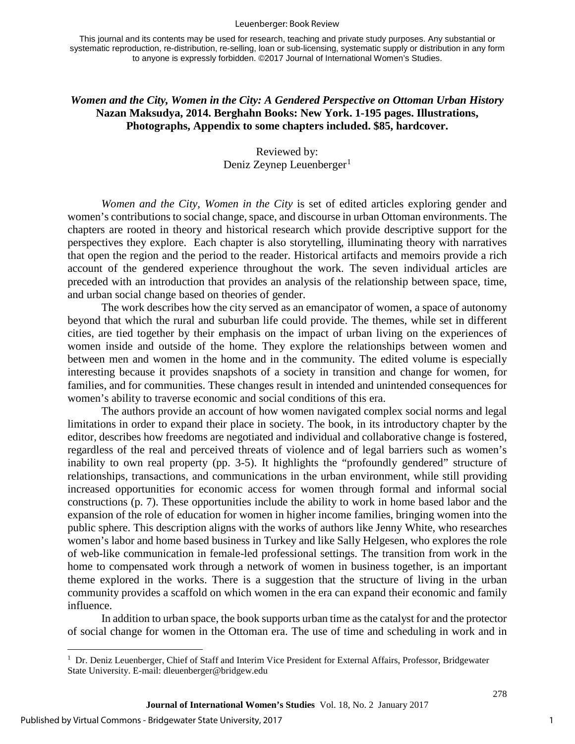#### Leuenberger: Book Review

This journal and its contents may be used for research, teaching and private study purposes. Any substantial or systematic reproduction, re-distribution, re-selling, loan or sub-licensing, systematic supply or distribution in any form to anyone is expressly forbidden. ©2017 Journal of International Women's Studies.

## *Women and the City, Women in the City: A Gendered Perspective on Ottoman Urban History*  **Nazan Maksudya, 2014. Berghahn Books: New York. 1-195 pages. Illustrations, Photographs, Appendix to some chapters included. \$85, hardcover.**

## Reviewed by: Deniz Zeynep Leuenberger<sup>[1](#page-1-0)</sup>

*Women and the City, Women in the City* is set of edited articles exploring gender and women's contributions to social change, space, and discourse in urban Ottoman environments. The chapters are rooted in theory and historical research which provide descriptive support for the perspectives they explore. Each chapter is also storytelling, illuminating theory with narratives that open the region and the period to the reader. Historical artifacts and memoirs provide a rich account of the gendered experience throughout the work. The seven individual articles are preceded with an introduction that provides an analysis of the relationship between space, time, and urban social change based on theories of gender.

The work describes how the city served as an emancipator of women, a space of autonomy beyond that which the rural and suburban life could provide. The themes, while set in different cities, are tied together by their emphasis on the impact of urban living on the experiences of women inside and outside of the home. They explore the relationships between women and between men and women in the home and in the community. The edited volume is especially interesting because it provides snapshots of a society in transition and change for women, for families, and for communities. These changes result in intended and unintended consequences for women's ability to traverse economic and social conditions of this era.

The authors provide an account of how women navigated complex social norms and legal limitations in order to expand their place in society. The book, in its introductory chapter by the editor, describes how freedoms are negotiated and individual and collaborative change is fostered, regardless of the real and perceived threats of violence and of legal barriers such as women's inability to own real property (pp. 3-5). It highlights the "profoundly gendered" structure of relationships, transactions, and communications in the urban environment, while still providing increased opportunities for economic access for women through formal and informal social constructions (p. 7). These opportunities include the ability to work in home based labor and the expansion of the role of education for women in higher income families, bringing women into the public sphere. This description aligns with the works of authors like Jenny White, who researches women's labor and home based business in Turkey and like Sally Helgesen, who explores the role of web-like communication in female-led professional settings. The transition from work in the home to compensated work through a network of women in business together, is an important theme explored in the works. There is a suggestion that the structure of living in the urban community provides a scaffold on which women in the era can expand their economic and family influence.

In addition to urban space, the book supports urban time as the catalyst for and the protector of social change for women in the Ottoman era. The use of time and scheduling in work and in

l

278

<span id="page-1-0"></span><sup>&</sup>lt;sup>1</sup> Dr. Deniz Leuenberger, Chief of Staff and Interim Vice President for External Affairs, Professor, Bridgewater State University. E-mail: dleuenberger@bridgew.edu